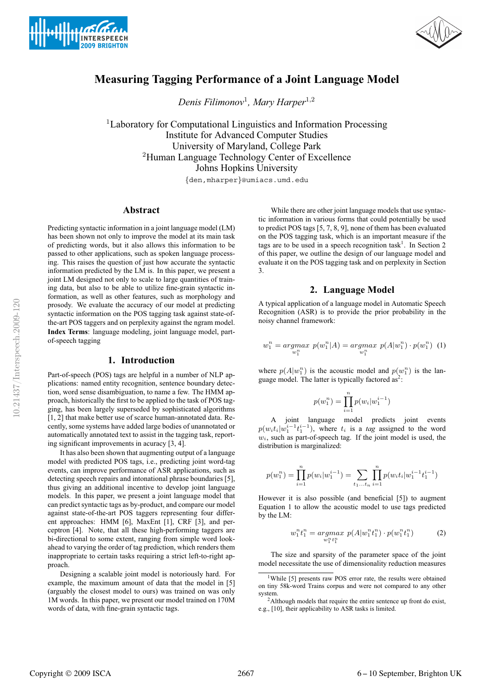



# **Measuring Tagging Performance of a Joint Language Model**

*Denis Filimonov*<sup>1</sup>*, Mary Harper*<sup>1</sup>,<sup>2</sup>

<sup>1</sup>Laboratory for Computational Linguistics and Information Processing Institute for Advanced Computer Studies University of Maryland, College Park <sup>2</sup>Human Language Technology Center of Excellence Johns Hopkins University

{den,mharper}@umiacs.umd.edu

# **Abstract**

Predicting syntactic information in a joint language model (LM) has been shown not only to improve the model at its main task of predicting words, but it also allows this information to be passed to other applications, such as spoken language processing. This raises the question of just how accurate the syntactic information predicted by the LM is. In this paper, we present a joint LM designed not only to scale to large quantities of training data, but also to be able to utilize fine-grain syntactic information, as well as other features, such as morphology and prosody. We evaluate the accuracy of our model at predicting syntactic information on the POS tagging task against state-ofthe-art POS taggers and on perplexity against the ngram model. **Index Terms**: language modeling, joint language model, partof-speech tagging

# **1. Introduction**

Part-of-speech (POS) tags are helpful in a number of NLP applications: named entity recognition, sentence boundary detection, word sense disambiguation, to name a few. The HMM approach, historically the first to be applied to the task of POS tagging, has been largely superseded by sophisticated algorithms [1, 2] that make better use of scarce human-annotated data. Recently, some systems have added large bodies of unannotated or automatically annotated text to assist in the tagging task, reporting significant improvements in acuracy [3, 4].

It has also been shown that augmenting output of a language model with predicted POS tags, i.e., predicting joint word-tag events, can improve performance of ASR applications, such as detecting speech repairs and intonational phrase boundaries [5], thus giving an additional incentive to develop joint language models. In this paper, we present a joint language model that can predict syntactic tags as by-product, and compare our model against state-of-the-art POS taggers representing four different approaches: HMM [6], MaxEnt [1], CRF [3], and perceptron [4]. Note, that all these high-performing taggers are bi-directional to some extent, ranging from simple word lookahead to varying the order of tag prediction, which renders them inappropriate to certain tasks requiring a strict left-to-right approach.

Designing a scalable joint model is notoriously hard. For example, the maximum amount of data that the model in [5] (arguably the closest model to ours) was trained on was only 1M words. In this paper, we present our model trained on 170M words of data, with fine-grain syntactic tags.

While there are other joint language models that use syntactic information in various forms that could potentially be used to predict POS tags [5, 7, 8, 9], none of them has been evaluated on the POS tagging task, which is an important measure if the tags are to be used in a speech recognition task<sup>1</sup>. In Section 2 of this paper, we outline the design of our language model and evaluate it on the POS tagging task and on perplexity in Section 3.

# **2. Language Model**

A typical application of a language model in Automatic Speech Recognition (ASR) is to provide the prior probability in the noisy channel framework:

$$
w_1^n = \underset{w_1^n}{\operatorname{argmax}} \ p(w_1^n | A) = \underset{w_1^n}{\operatorname{argmax}} \ p(A | w_1^n) \cdot p(w_1^n) \ (1)
$$

where  $p(A|w_1^n)$  is the acoustic model and  $p(w_1^n)$  is the language model. The latter is typically factored as<sup>2</sup>:

$$
p(w_1^n) = \prod_{i=1}^n p(w_i|w_1^{i-1})
$$

A joint language model predicts joint events  $p(w_i t_i|w_1^{i-1}t_1^{i-1})$ , where  $t_i$  is a *tag* assigned to the word  $w_i$ , such as part-of-speech tag. If the joint model is used, the distribution is marginalized:

$$
p(w_1^n) = \prod_{i=1}^n p(w_i|w_1^{i-1}) = \sum_{t_1...t_n} \prod_{i=1}^n p(w_i t_i|w_1^{i-1} t_1^{i-1})
$$

However it is also possible (and beneficial [5]) to augment Equation 1 to allow the acoustic model to use tags predicted by the LM:

$$
w_1^n t_1^n = \underset{w_1^n t_1^n}{\operatorname{argmax}} \ p(A|w_1^n t_1^n) \cdot p(w_1^n t_1^n) \tag{2}
$$

The size and sparsity of the parameter space of the joint model necessitate the use of dimensionality reduction measures

<sup>&</sup>lt;sup>1</sup>While [5] presents raw POS error rate, the results were obtained on tiny 58k-word Trains corpus and were not compared to any other system.

<sup>&</sup>lt;sup>2</sup>Although models that require the entire sentence up front do exist, e.g., [10], their applicability to ASR tasks is limited.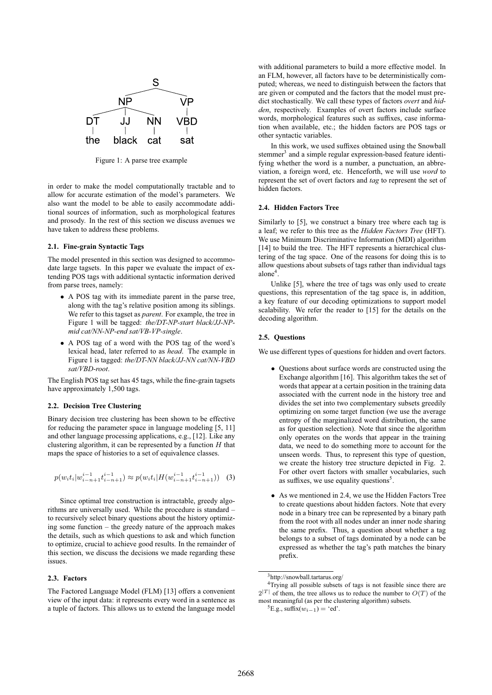

Figure 1: A parse tree example

in order to make the model computationally tractable and to allow for accurate estimation of the model's parameters. We also want the model to be able to easily accommodate additional sources of information, such as morphological features and prosody. In the rest of this section we discuss avenues we have taken to address these problems.

### **2.1. Fine-grain Syntactic Tags**

The model presented in this section was designed to accommodate large tagsets. In this paper we evaluate the impact of extending POS tags with additional syntactic information derived from parse trees, namely:

- A POS tag with its immediate parent in the parse tree, along with the tag's relative position among its siblings. We refer to this tagset as *parent*. For example, the tree in Figure 1 will be tagged: *the/DT-NP-start black/JJ-NPmid cat/NN-NP-end sat/VB-VP-single*.
- A POS tag of a word with the POS tag of the word's lexical head, later referred to as *head*. The example in Figure 1 is tagged: *the/DT-NN black/JJ-NN cat/NN-VBD sat/VBD-root*.

The English POS tag set has 45 tags, while the fine-grain tagsets have approximately 1,500 tags.

### **2.2. Decision Tree Clustering**

Binary decision tree clustering has been shown to be effective for reducing the parameter space in language modeling [5, 11] and other language processing applications, e.g., [12]. Like any clustering algorithm, it can be represented by a function  $H$  that maps the space of histories to a set of equivalence classes.

$$
p(w_i t_i | w_{i-n+1}^{i-1} t_{i-n+1}^{i-1}) \approx p(w_i t_i | H(w_{i-n+1}^{i-1} t_{i-n+1}^{i-1})) \quad (3)
$$

Since optimal tree construction is intractable, greedy algorithms are universally used. While the procedure is standard – to recursively select binary questions about the history optimizing some function – the greedy nature of the approach makes the details, such as which questions to ask and which function to optimize, crucial to achieve good results. In the remainder of this section, we discuss the decisions we made regarding these issues.

### **2.3. Factors**

The Factored Language Model (FLM) [13] offers a convenient view of the input data: it represents every word in a sentence as a tuple of factors. This allows us to extend the language model with additional parameters to build a more effective model. In an FLM, however, all factors have to be deterministically computed; whereas, we need to distinguish between the factors that are given or computed and the factors that the model must predict stochastically. We call these types of factors *overt* and *hidden*, respectively. Examples of overt factors include surface words, morphological features such as suffixes, case information when available, etc.; the hidden factors are POS tags or other syntactic variables.

In this work, we used suffixes obtained using the Snowball stemmer<sup>3</sup> and a simple regular expression-based feature identifying whether the word is a number, a punctuation, an abbreviation, a foreign word, etc. Henceforth, we will use *word* to represent the set of overt factors and *tag* to represent the set of hidden factors.

### **2.4. Hidden Factors Tree**

Similarly to [5], we construct a binary tree where each tag is a leaf; we refer to this tree as the *Hidden Factors Tree* (HFT). We use Minimum Discriminative Information (MDI) algorithm [14] to build the tree. The HFT represents a hierarchical clustering of the tag space. One of the reasons for doing this is to allow questions about subsets of tags rather than individual tags alone<sup>4</sup>.

Unlike [5], where the tree of tags was only used to create questions, this representation of the tag space is, in addition, a key feature of our decoding optimizations to support model scalability. We refer the reader to [15] for the details on the decoding algorithm.

#### **2.5. Questions**

We use different types of questions for hidden and overt factors.

- Questions about surface words are constructed using the Exchange algorithm [16]. This algorithm takes the set of words that appear at a certain position in the training data associated with the current node in the history tree and divides the set into two complementary subsets greedily optimizing on some target function (we use the average entropy of the marginalized word distribution, the same as for question selection). Note that since the algorithm only operates on the words that appear in the training data, we need to do something more to account for the unseen words. Thus, to represent this type of question, we create the history tree structure depicted in Fig. 2. For other overt factors with smaller vocabularies, such as suffixes, we use equality questions<sup>5</sup>.
- As we mentioned in 2.4, we use the Hidden Factors Tree to create questions about hidden factors. Note that every node in a binary tree can be represented by a binary path from the root with all nodes under an inner node sharing the same prefix. Thus, a question about whether a tag belongs to a subset of tags dominated by a node can be expressed as whether the tag's path matches the binary prefix.

<sup>3</sup>http://snowball.tartarus.org/

<sup>4</sup>Trying all possible subsets of tags is not feasible since there are  $2|T|$  of them, the tree allows us to reduce the number to  $O(T)$  of the most meaningful (as per the clustering algorithm) subsets.

<sup>&</sup>lt;sup>5</sup>E.g., suffix $(w_{i-1}) = 'ed'.$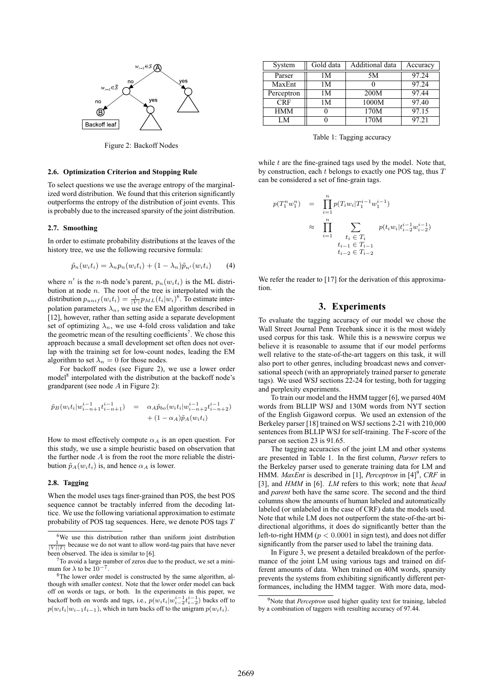

Figure 2: Backoff Nodes

### **2.6. Optimization Criterion and Stopping Rule**

To select questions we use the average entropy of the marginalized word distribution. We found that this criterion significantly outperforms the entropy of the distribution of joint events. This is probably due to the increased sparsity of the joint distribution.

#### **2.7. Smoothing**

In order to estimate probability distributions at the leaves of the history tree, we use the following recursive formula:

$$
\tilde{p}_n(w_i t_i) = \lambda_n p_n(w_i t_i) + (1 - \lambda_n) \tilde{p}_{n'}(w_i t_i) \qquad (4)
$$

where n' is the n-th node's parent,  $p_n(w_i t_i)$  is the ML distribution at node  $n$ . The root of the tree is interpolated with the distribution  $p_{unif}(w_it_i) = \frac{1}{|V|} p_{ML}(t_i|w_i)^6$ . To estimate interpolation parameters  $\lambda_n$ , we use the EM algorithm described in [12], however, rather than setting aside a separate development set of optimizing  $\lambda_n$ , we use 4-fold cross validation and take the geometric mean of the resulting coefficients<sup>7</sup>. We chose this approach because a small development set often does not overlap with the training set for low-count nodes, leading the EM algorithm to set  $\lambda_n = 0$  for those nodes.

For backoff nodes (see Figure 2), we use a lower order model<sup>8</sup> interpolated with the distribution at the backoff node's grandparent (see node A in Figure 2):

$$
\tilde{p}_B(w_i t_i | w_{i-n+1}^{i-1} t_{i-n+1}^{i-1}) = \alpha_A \tilde{p}_{bo}(w_i t_i | w_{i-n+2}^{i-1} t_{i-n+2}^{i-1}) \n+ (1 - \alpha_A) \tilde{p}_A(w_i t_i)
$$

How to most effectively compute  $\alpha_A$  is an open question. For this study, we use a simple heuristic based on observation that the further node  $A$  is from the root the more reliable the distribution  $\tilde{p}_A(w_i t_i)$  is, and hence  $\alpha_A$  is lower.

### **2.8. Tagging**

When the model uses tags finer-grained than POS, the best POS sequence cannot be tractably inferred from the decoding lattice. We use the following variational approximation to estimate probability of POS tag sequences. Here, we denote POS tags T

| System     | Gold data | Additional data | Accuracy |
|------------|-----------|-----------------|----------|
| Parser     | 1М        | 5M              | 97.24    |
| MaxEnt     | 1М        |                 | 97.24    |
| Perceptron | 1М        | 200M            | 97.44    |
| <b>CRF</b> | 1М        | 1000M           | 97.40    |
| <b>HMM</b> |           | 170M            | 97.15    |
| LM         |           | 170M            | 97.21    |

Table 1: Tagging accuracy

while  $t$  are the fine-grained tags used by the model. Note that, by construction, each t belongs to exactly one POS tag, thus T can be considered a set of fine-grain tags.

$$
\begin{array}{rcl}\n(T_1^n w_1^n) & = & \prod_{i=1}^n p(T_i w_i | T_1^{i-1} w_1^{i-1}) \\
& \approx & \prod_{i=1}^n \sum_{\begin{array}{c} t_i \in T_i \\ t_{i-1} \in T_{i-1} \\ t_{i-2} \in T_{i-2} \end{array}} p(t_i w_i | t_{i-2}^{i-1} w_{i-2}^{i-1})\n\end{array}
$$

 $\hat{I}$ 

We refer the reader to [17] for the derivation of this approximation.

# **3. Experiments**

To evaluate the tagging accuracy of our model we chose the Wall Street Journal Penn Treebank since it is the most widely used corpus for this task. While this is a newswire corpus we believe it is reasonable to assume that if our model performs well relative to the state-of-the-art taggers on this task, it will also port to other genres, including broadcast news and conversational speech (with an appropriately trained parser to generate tags). We used WSJ sections 22-24 for testing, both for tagging and perplexity experiments.

To train our model and the HMM tagger [6], we parsed 40M words from BLLIP WSJ and 130M words from NYT section of the English Gigaword corpus. We used an extension of the Berkeley parser [18] trained on WSJ sections 2-21 with 210,000 sentences from BLLIP WSJ for self-training. The F-score of the parser on section 23 is 91.65.

The tagging accuracies of the joint LM and other systems are presented in Table 1. In the first column, *Parser* refers to the Berkeley parser used to generate training data for LM and HMM. *MaxEnt* is described in [1], *Perceptron* in [4]<sup>9</sup>, *CRF* in [3], and *HMM* in [6]. *LM* refers to this work; note that *head* and *parent* both have the same score. The second and the third columns show the amounts of human labeled and automatically labeled (or unlabeled in the case of CRF) data the models used. Note that while LM does not outperform the state-of-the-art bidirectional algorithms, it does do significantly better than the left-to-right HMM ( $p < 0.0001$  in sign test), and does not differ significantly from the parser used to label the training data.

In Figure 3, we present a detailed breakdown of the performance of the joint LM using various tags and trained on different amounts of data. When trained on 40M words, sparsity prevents the systems from exhibiting significantly different performances, including the HMM tagger. With more data, mod-

 $6\text{We}$  use this distribution rather than uniform joint distribution  $\frac{1}{|V||T|}$  because we do not want to allow word-tag pairs that have never been observed. The idea is similar to [6].

 $7$ To avoid a large number of zeros due to the product, we set a minimum for  $\lambda$  to be  $10^{-7}$ .

<sup>8</sup>The lower order model is constructed by the same algorithm, although with smaller context. Note that the lower order model can back off on words or tags, or both. In the experiments in this paper, we backoff both on words and tags, i.e.,  $p(w_i t_i|w_{i-2}^{i-1} t_{i-2}^{i-1})$  backs off to  $p(w_i t_i|w_{i-1}t_{i-1})$ , which in turn backs off to the unigram  $p(w_i t_i)$ .

<sup>&</sup>lt;sup>9</sup>Note that *Perceptron* used higher quality text for training, labeled by a combination of taggers with resulting accuracy of 97.44.